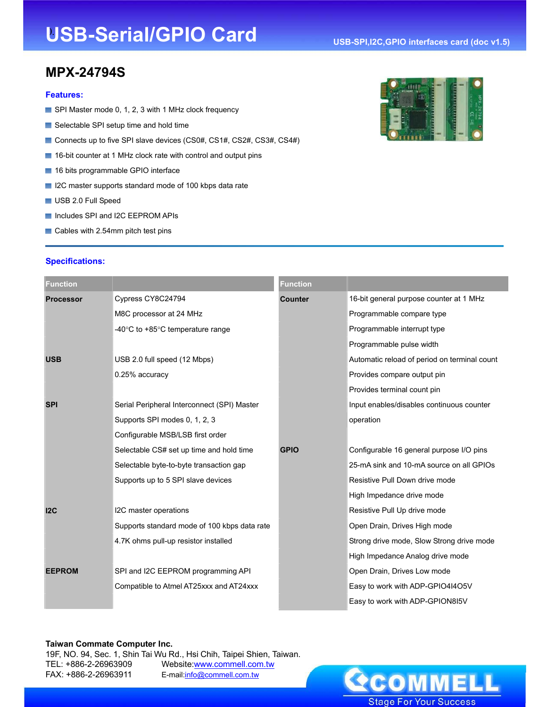# **USB-Serial/GPIO Card**

# **MPX-24794S**

### **Features:**

- SPI Master mode 0, 1, 2, 3 with 1 MHz clock frequency
- Selectable SPI setup time and hold time
- Connects up to five SPI slave devices (CS0#, CS1#, CS2#, CS3#, CS4#)
- 16-bit counter at 1 MHz clock rate with control and output pins
- 16 bits programmable GPIO interface
- I2C master supports standard mode of 100 kbps data rate
- USB 2.0 Full Speed
- Includes SPI and I2C EEPROM APIs
- Cables with 2.54mm pitch test pins

#### **Specifications:**

| <b>WILLIAMS</b>       |  |  |
|-----------------------|--|--|
| <b>BELLEVILLE AND</b> |  |  |

| <b>Function</b>  |                                                      | <b>Function</b> |                                              |
|------------------|------------------------------------------------------|-----------------|----------------------------------------------|
| <b>Processor</b> | Cypress CY8C24794                                    | <b>Counter</b>  | 16-bit general purpose counter at 1 MHz      |
|                  | M8C processor at 24 MHz                              |                 | Programmable compare type                    |
|                  | -40 $\degree$ C to +85 $\degree$ C temperature range |                 | Programmable interrupt type                  |
|                  |                                                      |                 | Programmable pulse width                     |
| <b>USB</b>       | USB 2.0 full speed (12 Mbps)                         |                 | Automatic reload of period on terminal count |
|                  | 0.25% accuracy                                       |                 | Provides compare output pin                  |
|                  |                                                      |                 | Provides terminal count pin                  |
| <b>SPI</b>       | Serial Peripheral Interconnect (SPI) Master          |                 | Input enables/disables continuous counter    |
|                  | Supports SPI modes 0, 1, 2, 3                        |                 | operation                                    |
|                  | Configurable MSB/LSB first order                     |                 |                                              |
|                  | Selectable CS# set up time and hold time             | <b>GPIO</b>     | Configurable 16 general purpose I/O pins     |
|                  | Selectable byte-to-byte transaction gap              |                 | 25-mA sink and 10-mA source on all GPIOs     |
|                  | Supports up to 5 SPI slave devices                   |                 | Resistive Pull Down drive mode               |
|                  |                                                      |                 | High Impedance drive mode                    |
| 12C              | I2C master operations                                |                 | Resistive Pull Up drive mode                 |
|                  | Supports standard mode of 100 kbps data rate         |                 | Open Drain, Drives High mode                 |
|                  | 4.7K ohms pull-up resistor installed                 |                 | Strong drive mode, Slow Strong drive mode    |
|                  |                                                      |                 | High Impedance Analog drive mode             |
| <b>EEPROM</b>    | SPI and I2C EEPROM programming API                   |                 | Open Drain, Drives Low mode                  |
|                  | Compatible to Atmel AT25xxx and AT24xxx              |                 | Easy to work with ADP-GPIO4I4O5V             |
|                  |                                                      |                 | Easy to work with ADP-GPION815V              |

#### **Taiwan Commate Computer Inc.**

19F, NO. 94, Sec. 1, Shin Tai Wu Rd., Hsi Chih, Taipei Shien, Taiwan. TEL: +886-2-26963909 Website:www.commell.com.tw FAX: +886-2-26963911 E-mail:info@commell.com.tw